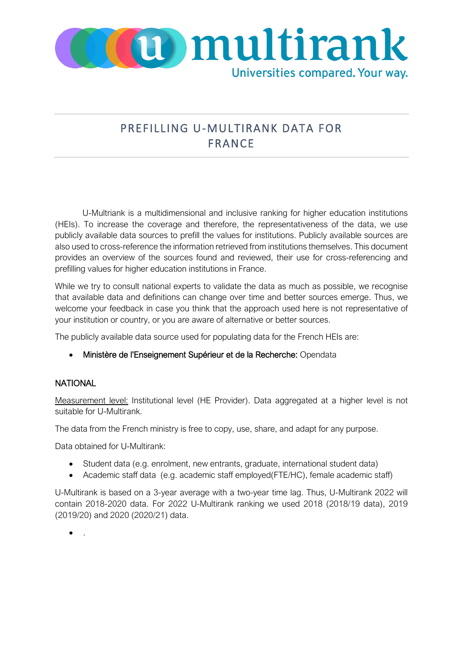

## PREFILLING U-MULTIRANK DATA FOR FRANCE

U-Multriank is a multidimensional and inclusive ranking for higher education institutions (HEIs). To increase the coverage and therefore, the representativeness of the data, we use publicly available data sources to prefill the values for institutions. Publicly available sources are also used to cross-reference the information retrieved from institutions themselves. This document provides an overview of the sources found and reviewed, their use for cross-referencing and prefilling values for higher education institutions in France.

While we try to consult national experts to validate the data as much as possible, we recognise that available data and definitions can change over time and better sources emerge. Thus, we welcome your feedback in case you think that the approach used here is not representative of your institution or country, or you are aware of alternative or better sources.

The publicly available data source used for populating data for the French HEIs are:

• Ministère de l'Enseignement Supérieur et de la Recherche: Opendata

## **NATIONAL**

Measurement level: Institutional level (HE Provider). Data aggregated at a higher level is not suitable for U-Multirank.

The data from the French ministry is free to copy, use, share, and adapt for any purpose.

Data obtained for U-Multirank:

- Student data (e.g. enrolment, new entrants, graduate, international student data)
- Academic staff data (e.g. academic staff employed(FTE/HC), female academic staff)

U-Multirank is based on a 3-year average with a two-year time lag. Thus, U-Multirank 2022 will contain 2018-2020 data. For 2022 U-Multirank ranking we used 2018 (2018/19 data), 2019 (2019/20) and 2020 (2020/21) data.

• .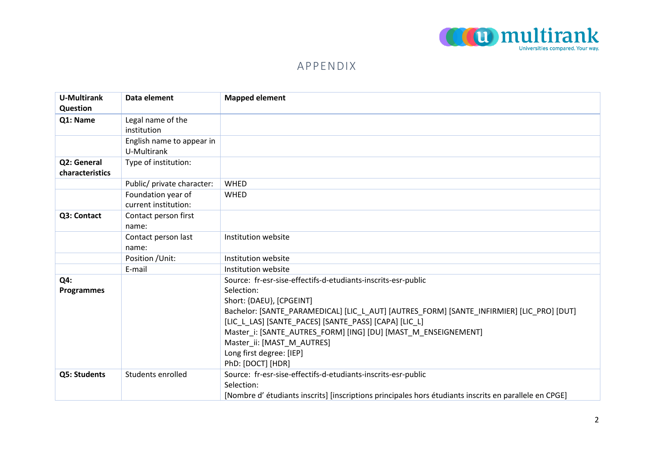

## APPENDIX

| <b>U-Multirank</b>             | Data element                               | <b>Mapped element</b>                                                                                  |
|--------------------------------|--------------------------------------------|--------------------------------------------------------------------------------------------------------|
| <b>Question</b>                |                                            |                                                                                                        |
| Q1: Name                       | Legal name of the<br>institution           |                                                                                                        |
|                                | English name to appear in<br>U-Multirank   |                                                                                                        |
| Q2: General<br>characteristics | Type of institution:                       |                                                                                                        |
|                                | Public/ private character:                 | <b>WHED</b>                                                                                            |
|                                | Foundation year of<br>current institution: | <b>WHED</b>                                                                                            |
| Q3: Contact                    | Contact person first<br>name:              |                                                                                                        |
|                                | Contact person last<br>name:               | Institution website                                                                                    |
|                                | Position / Unit:                           | Institution website                                                                                    |
|                                | E-mail                                     | Institution website                                                                                    |
| Q4:                            |                                            | Source: fr-esr-sise-effectifs-d-etudiants-inscrits-esr-public                                          |
| <b>Programmes</b>              |                                            | Selection:<br>Short: {DAEU}, [CPGEINT]                                                                 |
|                                |                                            | Bachelor: [SANTE_PARAMEDICAL] [LIC_L_AUT] [AUTRES_FORM] [SANTE_INFIRMIER] [LIC_PRO] [DUT]              |
|                                |                                            | [LIC_L_LAS] [SANTE_PACES] [SANTE_PASS] [CAPA] [LIC_L]                                                  |
|                                |                                            | Master i: [SANTE AUTRES FORM] [ING] [DU] [MAST M ENSEIGNEMENT]                                         |
|                                |                                            | Master_ii: [MAST_M_AUTRES]                                                                             |
|                                |                                            | Long first degree: [IEP]<br>PhD: [DOCT] [HDR]                                                          |
| Q5: Students                   | Students enrolled                          | Source: fr-esr-sise-effectifs-d-etudiants-inscrits-esr-public                                          |
|                                |                                            | Selection:                                                                                             |
|                                |                                            | [Nombre d' étudiants inscrits] [inscriptions principales hors étudiants inscrits en parallele en CPGE] |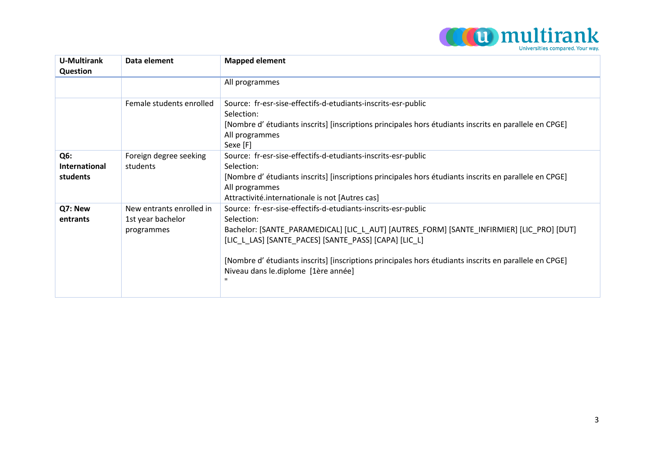

| <b>U-Multirank</b>                      | Data element                                                | <b>Mapped element</b>                                                                                                                                                                                                                                                                                                                                                              |
|-----------------------------------------|-------------------------------------------------------------|------------------------------------------------------------------------------------------------------------------------------------------------------------------------------------------------------------------------------------------------------------------------------------------------------------------------------------------------------------------------------------|
| Question                                |                                                             | All programmes                                                                                                                                                                                                                                                                                                                                                                     |
|                                         | Female students enrolled                                    | Source: fr-esr-sise-effectifs-d-etudiants-inscrits-esr-public<br>Selection:<br>[Nombre d' étudiants inscrits] [inscriptions principales hors étudiants inscrits en parallele en CPGE]<br>All programmes<br>Sexe [F]                                                                                                                                                                |
| Q6:<br><b>International</b><br>students | Foreign degree seeking<br>students                          | Source: fr-esr-sise-effectifs-d-etudiants-inscrits-esr-public<br>Selection:<br>[Nombre d' étudiants inscrits] [inscriptions principales hors étudiants inscrits en parallele en CPGE]<br>All programmes<br>Attractivité.internationale is not [Autres cas]                                                                                                                         |
| Q7: New<br>entrants                     | New entrants enrolled in<br>1st year bachelor<br>programmes | Source: fr-esr-sise-effectifs-d-etudiants-inscrits-esr-public<br>Selection:<br>Bachelor: [SANTE_PARAMEDICAL] [LIC_L_AUT] [AUTRES_FORM] [SANTE_INFIRMIER] [LIC_PRO] [DUT]<br>[LIC_L_LAS] [SANTE_PACES] [SANTE_PASS] [CAPA] [LIC_L]<br>[Nombre d' étudiants inscrits] [inscriptions principales hors étudiants inscrits en parallele en CPGE]<br>Niveau dans le.diplome [1ère année] |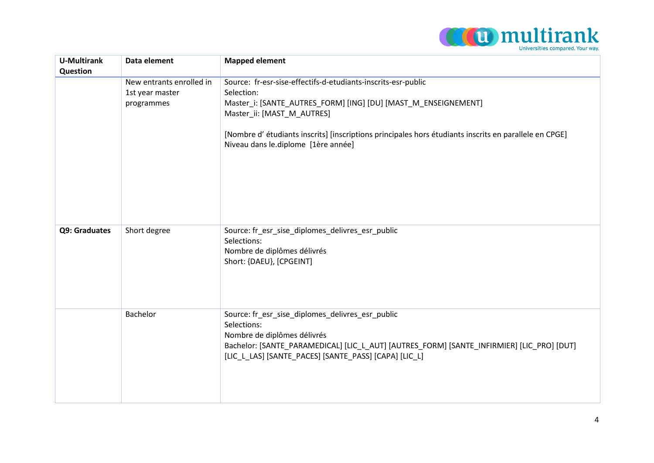

| <b>U-Multirank</b><br>Question | Data element                                              | <b>Mapped element</b>                                                                                                                                                                                                                                                                                                        |
|--------------------------------|-----------------------------------------------------------|------------------------------------------------------------------------------------------------------------------------------------------------------------------------------------------------------------------------------------------------------------------------------------------------------------------------------|
|                                | New entrants enrolled in<br>1st year master<br>programmes | Source: fr-esr-sise-effectifs-d-etudiants-inscrits-esr-public<br>Selection:<br>Master_i: [SANTE_AUTRES_FORM] [ING] [DU] [MAST_M_ENSEIGNEMENT]<br>Master_ii: [MAST_M_AUTRES]<br>[Nombre d' étudiants inscrits] [inscriptions principales hors étudiants inscrits en parallele en CPGE]<br>Niveau dans le.diplome [1ère année] |
| Q9: Graduates                  | Short degree                                              | Source: fr_esr_sise_diplomes_delivres_esr_public<br>Selections:<br>Nombre de diplômes délivrés<br>Short: {DAEU}, [CPGEINT]                                                                                                                                                                                                   |
|                                | Bachelor                                                  | Source: fr_esr_sise_diplomes_delivres_esr_public<br>Selections:<br>Nombre de diplômes délivrés<br>Bachelor: [SANTE_PARAMEDICAL] [LIC_L_AUT] [AUTRES_FORM] [SANTE_INFIRMIER] [LIC_PRO] [DUT]<br>[LIC_L_LAS] [SANTE_PACES] [SANTE_PASS] [CAPA] [LIC_L]                                                                         |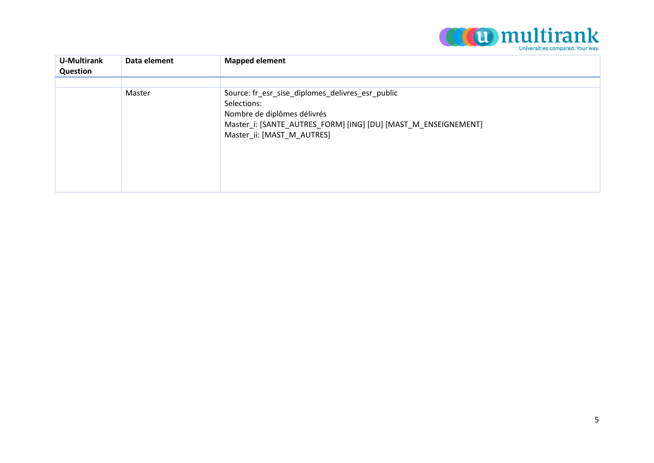

| U-Multirank<br>Question | Data element | <b>Mapped element</b>                                                                                                                                                                          |
|-------------------------|--------------|------------------------------------------------------------------------------------------------------------------------------------------------------------------------------------------------|
|                         |              |                                                                                                                                                                                                |
|                         | Master       | Source: fr_esr_sise_diplomes_delivres_esr_public<br>Selections:<br>Nombre de diplômes délivrés<br>Master_i: [SANTE_AUTRES_FORM] [ING] [DU] [MAST_M_ENSEIGNEMENT]<br>Master_ii: [MAST_M_AUTRES] |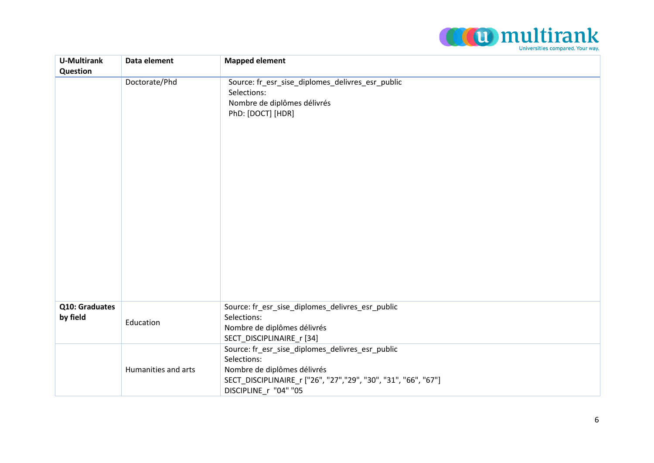

| <b>U-Multirank</b>         | Data element        | <b>Mapped element</b>                                                                                                                                                                     |
|----------------------------|---------------------|-------------------------------------------------------------------------------------------------------------------------------------------------------------------------------------------|
| Question                   |                     |                                                                                                                                                                                           |
|                            | Doctorate/Phd       | Source: fr_esr_sise_diplomes_delivres_esr_public<br>Selections:<br>Nombre de diplômes délivrés<br>PhD: [DOCT] [HDR]                                                                       |
| Q10: Graduates<br>by field | Education           | Source: fr_esr_sise_diplomes_delivres_esr_public<br>Selections:<br>Nombre de diplômes délivrés<br>SECT_DISCIPLINAIRE_r [34]                                                               |
|                            | Humanities and arts | Source: fr_esr_sise_diplomes_delivres_esr_public<br>Selections:<br>Nombre de diplômes délivrés<br>SECT_DISCIPLINAIRE_r ["26", "27","29", "30", "31", "66", "67"]<br>DISCIPLINE r "04" "05 |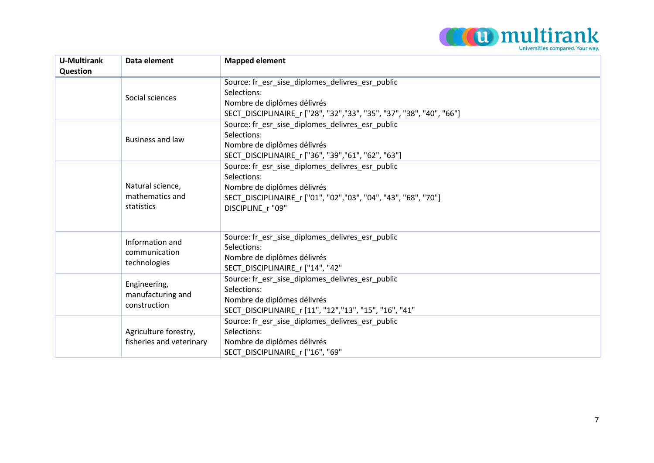

| <b>U-Multirank</b><br>Question | Data element                                      | <b>Mapped element</b>                                                                                                                                                                 |
|--------------------------------|---------------------------------------------------|---------------------------------------------------------------------------------------------------------------------------------------------------------------------------------------|
|                                | Social sciences                                   | Source: fr_esr_sise_diplomes_delivres_esr_public<br>Selections:<br>Nombre de diplômes délivrés<br>SECT_DISCIPLINAIRE_r ["28", "32","33", "35", "37", "38", "40", "66"]                |
|                                | <b>Business and law</b>                           | Source: fr esr sise diplomes delivres esr public<br>Selections:<br>Nombre de diplômes délivrés<br>SECT_DISCIPLINAIRE_r ["36", "39","61", "62", "63"]                                  |
|                                | Natural science,<br>mathematics and<br>statistics | Source: fr esr sise diplomes delivres esr public<br>Selections:<br>Nombre de diplômes délivrés<br>SECT_DISCIPLINAIRE_r ["01", "02","03", "04", "43", "68", "70"]<br>DISCIPLINE r "09" |
|                                | Information and<br>communication<br>technologies  | Source: fr esr sise diplomes delivres esr public<br>Selections:<br>Nombre de diplômes délivrés<br>SECT_DISCIPLINAIRE_r ["14", "42"                                                    |
|                                | Engineering,<br>manufacturing and<br>construction | Source: fr esr sise diplomes delivres esr public<br>Selections:<br>Nombre de diplômes délivrés<br>SECT_DISCIPLINAIRE_r [11", "12","13", "15", "16", "41"                              |
|                                | Agriculture forestry,<br>fisheries and veterinary | Source: fr esr sise diplomes delivres esr public<br>Selections:<br>Nombre de diplômes délivrés<br>SECT DISCIPLINAIRE r ["16", "69"                                                    |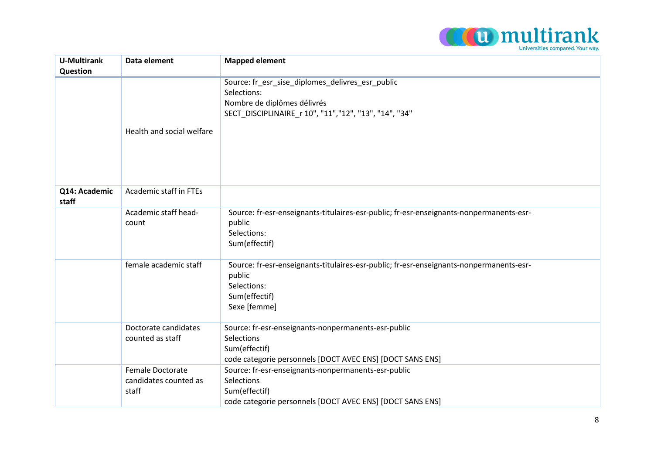

| <b>U-Multirank</b><br>Question | Data element                                       | <b>Mapped element</b>                                                                                                                                   |
|--------------------------------|----------------------------------------------------|---------------------------------------------------------------------------------------------------------------------------------------------------------|
|                                | Health and social welfare                          | Source: fr_esr_sise_diplomes_delivres_esr_public<br>Selections:<br>Nombre de diplômes délivrés<br>SECT_DISCIPLINAIRE_r 10", "11","12", "13", "14", "34" |
| Q14: Academic<br>staff         | Academic staff in FTEs                             |                                                                                                                                                         |
|                                | Academic staff head-<br>count                      | Source: fr-esr-enseignants-titulaires-esr-public; fr-esr-enseignants-nonpermanents-esr-<br>public<br>Selections:<br>Sum(effectif)                       |
|                                | female academic staff                              | Source: fr-esr-enseignants-titulaires-esr-public; fr-esr-enseignants-nonpermanents-esr-<br>public<br>Selections:<br>Sum(effectif)<br>Sexe [femme]       |
|                                | Doctorate candidates<br>counted as staff           | Source: fr-esr-enseignants-nonpermanents-esr-public<br>Selections<br>Sum(effectif)<br>code categorie personnels [DOCT AVEC ENS] [DOCT SANS ENS]         |
|                                | Female Doctorate<br>candidates counted as<br>staff | Source: fr-esr-enseignants-nonpermanents-esr-public<br>Selections<br>Sum(effectif)<br>code categorie personnels [DOCT AVEC ENS] [DOCT SANS ENS]         |